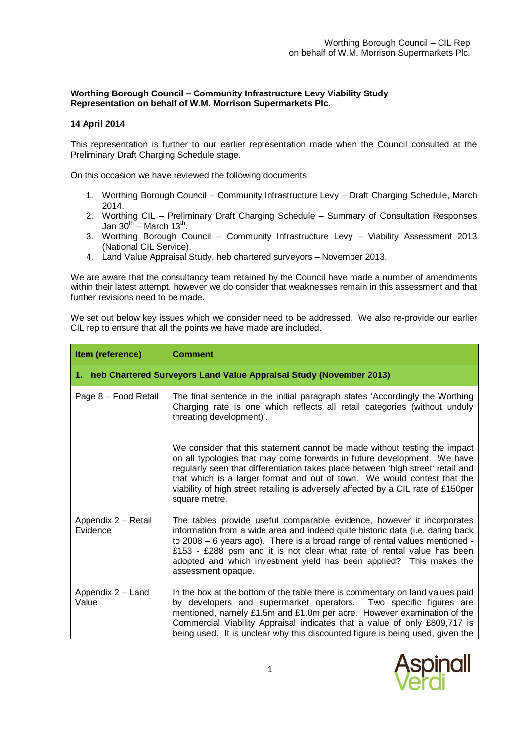# **Worthing Borough Council – Community Infrastructure Levy Viability Study Representation on behalf of W.M. Morrison Supermarkets Plc.**

## **14 April 2014**

This representation is further to our earlier representation made when the Council consulted at the Preliminary Draft Charging Schedule stage.

On this occasion we have reviewed the following documents

- 1. Worthing Borough Council Community Infrastructure Levy Draft Charging Schedule, March 2014.
- 2. Worthing CIL Preliminary Draft Charging Schedule Summary of Consultation Responses Jan  $30^{th}$  – March 13<sup>th</sup>.
- 3. Worthing Borough Council Community Infrastructure Levy Viability Assessment 2013 (National CIL Service).
- 4. Land Value Appraisal Study, heb chartered surveyors November 2013.

We are aware that the consultancy team retained by the Council have made a number of amendments within their latest attempt, however we do consider that weaknesses remain in this assessment and that further revisions need to be made.

We set out below key issues which we consider need to be addressed. We also re-provide our earlier CIL rep to ensure that all the points we have made are included.

| Item (reference)                                                      | <b>Comment</b>                                                                                                                                                                                                                                                                                                                                                                                                             |  |
|-----------------------------------------------------------------------|----------------------------------------------------------------------------------------------------------------------------------------------------------------------------------------------------------------------------------------------------------------------------------------------------------------------------------------------------------------------------------------------------------------------------|--|
| 1. heb Chartered Surveyors Land Value Appraisal Study (November 2013) |                                                                                                                                                                                                                                                                                                                                                                                                                            |  |
| Page 8 - Food Retail                                                  | The final sentence in the initial paragraph states 'Accordingly the Worthing<br>Charging rate is one which reflects all retail categories (without unduly<br>threating development)'.                                                                                                                                                                                                                                      |  |
|                                                                       | We consider that this statement cannot be made without testing the impact<br>on all typologies that may come forwards in future development. We have<br>regularly seen that differentiation takes place between 'high street' retail and<br>that which is a larger format and out of town. We would contest that the<br>viability of high street retailing is adversely affected by a CIL rate of £150per<br>square metre. |  |
| Appendix 2 - Retail<br>Evidence                                       | The tables provide useful comparable evidence, however it incorporates<br>information from a wide area and indeed quite historic data (i.e. dating back<br>to 2008 - 6 years ago). There is a broad range of rental values mentioned -<br>£153 - £288 psm and it is not clear what rate of rental value has been<br>adopted and which investment yield has been applied? This makes the<br>assessment opaque.              |  |
| Appendix 2 - Land<br>Value                                            | In the box at the bottom of the table there is commentary on land values paid<br>by developers and supermarket operators. Two specific figures are<br>mentioned, namely £1.5m and £1.0m per acre. However examination of the<br>Commercial Viability Appraisal indicates that a value of only £809,717 is<br>being used. It is unclear why this discounted figure is being used, given the                                 |  |

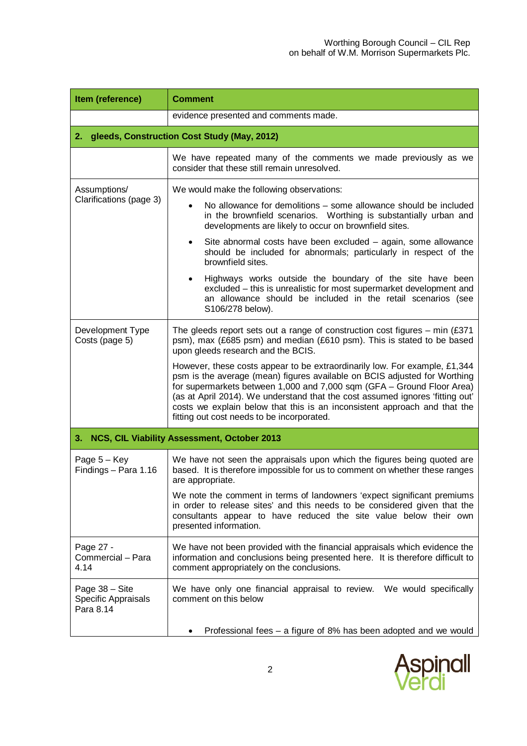| Item (reference)                                   | <b>Comment</b>                                                                                                                                                                                                                                                                                                                                                                                                                                |  |
|----------------------------------------------------|-----------------------------------------------------------------------------------------------------------------------------------------------------------------------------------------------------------------------------------------------------------------------------------------------------------------------------------------------------------------------------------------------------------------------------------------------|--|
|                                                    | evidence presented and comments made.                                                                                                                                                                                                                                                                                                                                                                                                         |  |
| gleeds, Construction Cost Study (May, 2012)<br>2.  |                                                                                                                                                                                                                                                                                                                                                                                                                                               |  |
|                                                    | We have repeated many of the comments we made previously as we<br>consider that these still remain unresolved.                                                                                                                                                                                                                                                                                                                                |  |
| Assumptions/<br>Clarifications (page 3)            | We would make the following observations:                                                                                                                                                                                                                                                                                                                                                                                                     |  |
|                                                    | No allowance for demolitions – some allowance should be included<br>$\bullet$<br>in the brownfield scenarios. Worthing is substantially urban and<br>developments are likely to occur on brownfield sites.                                                                                                                                                                                                                                    |  |
|                                                    | Site abnormal costs have been excluded - again, some allowance<br>٠<br>should be included for abnormals; particularly in respect of the<br>brownfield sites.                                                                                                                                                                                                                                                                                  |  |
|                                                    | Highways works outside the boundary of the site have been<br>$\bullet$<br>excluded - this is unrealistic for most supermarket development and<br>an allowance should be included in the retail scenarios (see<br>S106/278 below).                                                                                                                                                                                                             |  |
| Development Type<br>Costs (page 5)                 | The gleeds report sets out a range of construction cost figures $-$ min (£371<br>psm), max (£685 psm) and median (£610 psm). This is stated to be based<br>upon gleeds research and the BCIS.                                                                                                                                                                                                                                                 |  |
|                                                    | However, these costs appear to be extraordinarily low. For example, £1,344<br>psm is the average (mean) figures available on BCIS adjusted for Worthing<br>for supermarkets between 1,000 and 7,000 sqm (GFA - Ground Floor Area)<br>(as at April 2014). We understand that the cost assumed ignores 'fitting out'<br>costs we explain below that this is an inconsistent approach and that the<br>fitting out cost needs to be incorporated. |  |
| 3.                                                 | NCS, CIL Viability Assessment, October 2013                                                                                                                                                                                                                                                                                                                                                                                                   |  |
| Page $5 - Key$<br>Findings - Para 1.16             | We have not seen the appraisals upon which the figures being quoted are<br>based. It is therefore impossible for us to comment on whether these ranges<br>are appropriate.                                                                                                                                                                                                                                                                    |  |
|                                                    | We note the comment in terms of landowners 'expect significant premiums<br>in order to release sites' and this needs to be considered given that the<br>consultants appear to have reduced the site value below their own<br>presented information.                                                                                                                                                                                           |  |
| Page 27 -<br>Commercial - Para<br>4.14             | We have not been provided with the financial appraisals which evidence the<br>information and conclusions being presented here. It is therefore difficult to<br>comment appropriately on the conclusions.                                                                                                                                                                                                                                     |  |
| Page 38 - Site<br>Specific Appraisals<br>Para 8.14 | We have only one financial appraisal to review. We would specifically<br>comment on this below                                                                                                                                                                                                                                                                                                                                                |  |
|                                                    | Professional fees – a figure of 8% has been adopted and we would                                                                                                                                                                                                                                                                                                                                                                              |  |

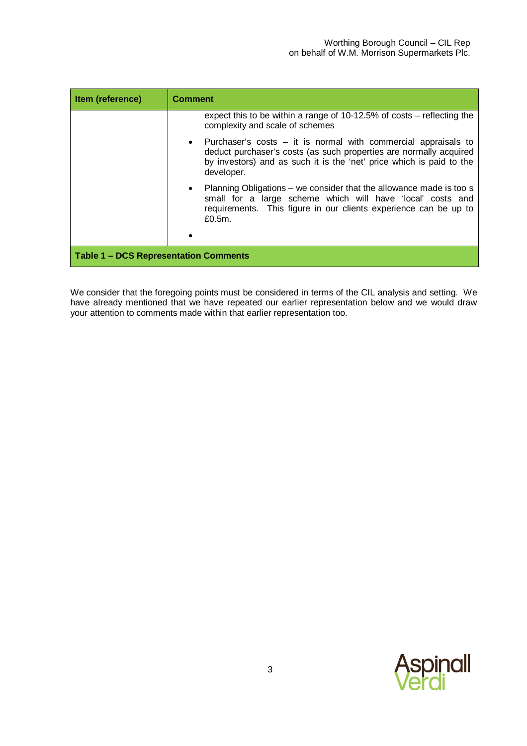| Item (reference)                             | <b>Comment</b>                                                                                                                                                                                                               |
|----------------------------------------------|------------------------------------------------------------------------------------------------------------------------------------------------------------------------------------------------------------------------------|
|                                              | expect this to be within a range of 10-12.5% of costs – reflecting the<br>complexity and scale of schemes                                                                                                                    |
|                                              | Purchaser's $costs - it$ is normal with commercial appraisals to<br>deduct purchaser's costs (as such properties are normally acquired<br>by investors) and as such it is the 'net' price which is paid to the<br>developer. |
|                                              | Planning Obligations – we consider that the allowance made is too s<br>small for a large scheme which will have 'local' costs and<br>requirements. This figure in our clients experience can be up to<br>£0.5m.              |
|                                              |                                                                                                                                                                                                                              |
| <b>Table 1 – DCS Representation Comments</b> |                                                                                                                                                                                                                              |

We consider that the foregoing points must be considered in terms of the CIL analysis and setting. We have already mentioned that we have repeated our earlier representation below and we would draw your attention to comments made within that earlier representation too.

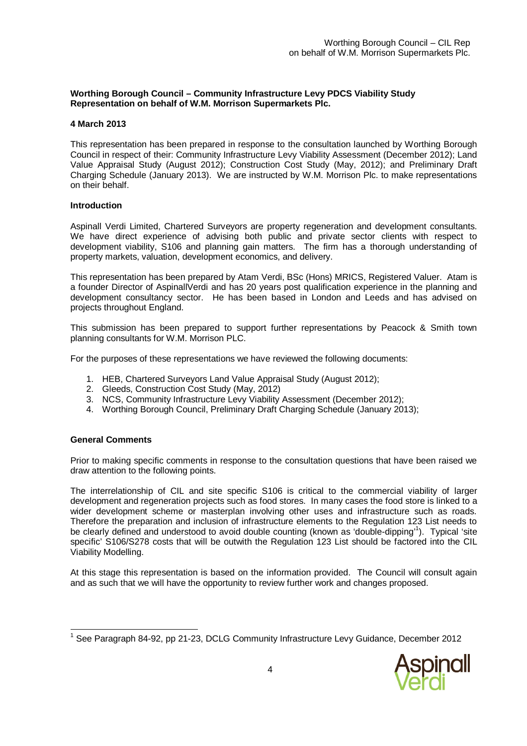# **Worthing Borough Council – Community Infrastructure Levy PDCS Viability Study Representation on behalf of W.M. Morrison Supermarkets Plc.**

### **4 March 2013**

This representation has been prepared in response to the consultation launched by Worthing Borough Council in respect of their: Community Infrastructure Levy Viability Assessment (December 2012); Land Value Appraisal Study (August 2012); Construction Cost Study (May, 2012); and Preliminary Draft Charging Schedule (January 2013). We are instructed by W.M. Morrison Plc. to make representations on their behalf.

#### **Introduction**

Aspinall Verdi Limited, Chartered Surveyors are property regeneration and development consultants. We have direct experience of advising both public and private sector clients with respect to development viability, S106 and planning gain matters. The firm has a thorough understanding of property markets, valuation, development economics, and delivery.

This representation has been prepared by Atam Verdi, BSc (Hons) MRICS, Registered Valuer. Atam is a founder Director of AspinallVerdi and has 20 years post qualification experience in the planning and development consultancy sector. He has been based in London and Leeds and has advised on projects throughout England.

This submission has been prepared to support further representations by Peacock & Smith town planning consultants for W.M. Morrison PLC.

For the purposes of these representations we have reviewed the following documents:

- 1. HEB, Chartered Surveyors Land Value Appraisal Study (August 2012);
- 2. Gleeds, Construction Cost Study (May, 2012)
- 3. NCS, Community Infrastructure Levy Viability Assessment (December 2012);
- 4. Worthing Borough Council, Preliminary Draft Charging Schedule (January 2013);

## **General Comments**

Prior to making specific comments in response to the consultation questions that have been raised we draw attention to the following points.

The interrelationship of CIL and site specific S106 is critical to the commercial viability of larger development and regeneration projects such as food stores. In many cases the food store is linked to a wider development scheme or masterplan involving other uses and infrastructure such as roads. Therefore the preparation and inclusion of infrastructure elements to the Regulation 123 List needs to be clearly defined and understood to avoid double counting (known as 'double-dipping'<sup>1</sup>). Typical 'site specific' S106/S278 costs that will be outwith the Regulation 123 List should be factored into the CIL Viability Modelling.

At this stage this representation is based on the information provided. The Council will consult again and as such that we will have the opportunity to review further work and changes proposed.

 $\overline{a}$ <sup>1</sup> See Paragraph 84-92, pp 21-23, DCLG Community Infrastructure Levy Guidance, December 2012

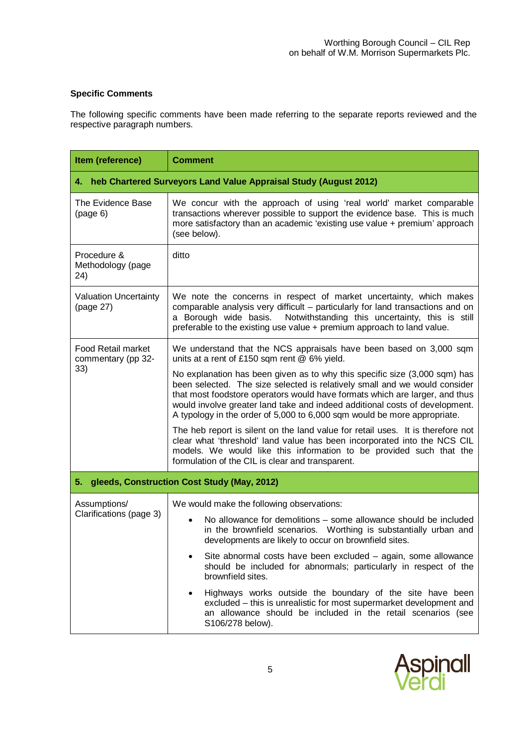# **Specific Comments**

The following specific comments have been made referring to the separate reports reviewed and the respective paragraph numbers.

| Item (reference)                                                    | <b>Comment</b>                                                                                                                                                                                                                                                                                                                                                                                     |  |
|---------------------------------------------------------------------|----------------------------------------------------------------------------------------------------------------------------------------------------------------------------------------------------------------------------------------------------------------------------------------------------------------------------------------------------------------------------------------------------|--|
| 4. heb Chartered Surveyors Land Value Appraisal Study (August 2012) |                                                                                                                                                                                                                                                                                                                                                                                                    |  |
| The Evidence Base<br>(page 6)                                       | We concur with the approach of using 'real world' market comparable<br>transactions wherever possible to support the evidence base. This is much<br>more satisfactory than an academic 'existing use value + premium' approach<br>(see below).                                                                                                                                                     |  |
| Procedure &<br>Methodology (page<br>24)                             | ditto                                                                                                                                                                                                                                                                                                                                                                                              |  |
| <b>Valuation Uncertainty</b><br>(page 27)                           | We note the concerns in respect of market uncertainty, which makes<br>comparable analysis very difficult - particularly for land transactions and on<br>Notwithstanding this uncertainty, this is still<br>a Borough wide basis.<br>preferable to the existing use value + premium approach to land value.                                                                                         |  |
| <b>Food Retail market</b><br>commentary (pp 32-<br>33)              | We understand that the NCS appraisals have been based on 3,000 sqm<br>units at a rent of £150 sqm rent @ 6% yield.                                                                                                                                                                                                                                                                                 |  |
|                                                                     | No explanation has been given as to why this specific size (3,000 sqm) has<br>been selected. The size selected is relatively small and we would consider<br>that most foodstore operators would have formats which are larger, and thus<br>would involve greater land take and indeed additional costs of development.<br>A typology in the order of 5,000 to 6,000 sqm would be more appropriate. |  |
|                                                                     | The heb report is silent on the land value for retail uses. It is therefore not<br>clear what 'threshold' land value has been incorporated into the NCS CIL<br>models. We would like this information to be provided such that the<br>formulation of the CIL is clear and transparent.                                                                                                             |  |
| gleeds, Construction Cost Study (May, 2012)<br>5.                   |                                                                                                                                                                                                                                                                                                                                                                                                    |  |
| Assumptions/<br>Clarifications (page 3)                             | We would make the following observations:                                                                                                                                                                                                                                                                                                                                                          |  |
|                                                                     | No allowance for demolitions – some allowance should be included<br>$\bullet$<br>in the brownfield scenarios. Worthing is substantially urban and<br>developments are likely to occur on brownfield sites.                                                                                                                                                                                         |  |
|                                                                     | Site abnormal costs have been excluded – again, some allowance<br>should be included for abnormals; particularly in respect of the<br>brownfield sites.                                                                                                                                                                                                                                            |  |
|                                                                     | Highways works outside the boundary of the site have been<br>excluded - this is unrealistic for most supermarket development and<br>an allowance should be included in the retail scenarios (see<br>S106/278 below).                                                                                                                                                                               |  |

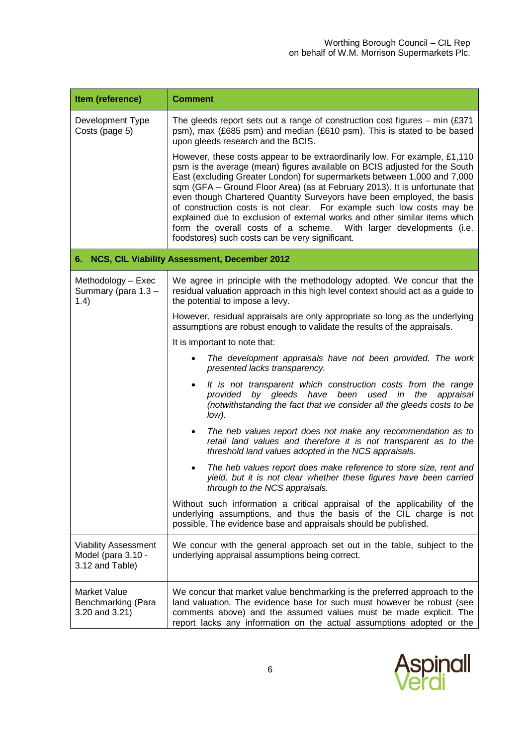| Item (reference)                                                     | <b>Comment</b>                                                                                                                                                                                                                                                                                                                                                                                                                                                                                                                                                                                                                                                                |
|----------------------------------------------------------------------|-------------------------------------------------------------------------------------------------------------------------------------------------------------------------------------------------------------------------------------------------------------------------------------------------------------------------------------------------------------------------------------------------------------------------------------------------------------------------------------------------------------------------------------------------------------------------------------------------------------------------------------------------------------------------------|
| Development Type<br>Costs (page 5)                                   | The gleeds report sets out a range of construction cost figures $-$ min (£371)<br>psm), max (£685 psm) and median (£610 psm). This is stated to be based<br>upon gleeds research and the BCIS.                                                                                                                                                                                                                                                                                                                                                                                                                                                                                |
|                                                                      | However, these costs appear to be extraordinarily low. For example, £1,110<br>psm is the average (mean) figures available on BCIS adjusted for the South<br>East (excluding Greater London) for supermarkets between 1,000 and 7,000<br>sqm (GFA - Ground Floor Area) (as at February 2013). It is unfortunate that<br>even though Chartered Quantity Surveyors have been employed, the basis<br>of construction costs is not clear. For example such low costs may be<br>explained due to exclusion of external works and other similar items which<br>form the overall costs of a scheme. With larger developments (i.e.<br>foodstores) such costs can be very significant. |
| 6.                                                                   | NCS, CIL Viability Assessment, December 2012                                                                                                                                                                                                                                                                                                                                                                                                                                                                                                                                                                                                                                  |
| Methodology - Exec<br>Summary (para 1.3 -<br>1.4)                    | We agree in principle with the methodology adopted. We concur that the<br>residual valuation approach in this high level context should act as a guide to<br>the potential to impose a levy.                                                                                                                                                                                                                                                                                                                                                                                                                                                                                  |
|                                                                      | However, residual appraisals are only appropriate so long as the underlying<br>assumptions are robust enough to validate the results of the appraisals.                                                                                                                                                                                                                                                                                                                                                                                                                                                                                                                       |
|                                                                      | It is important to note that:                                                                                                                                                                                                                                                                                                                                                                                                                                                                                                                                                                                                                                                 |
|                                                                      | The development appraisals have not been provided. The work<br>$\bullet$<br>presented lacks transparency.                                                                                                                                                                                                                                                                                                                                                                                                                                                                                                                                                                     |
|                                                                      | It is not transparent which construction costs from the range<br>$\bullet$<br>provided by gleeds have been used in the<br>appraisal<br>(notwithstanding the fact that we consider all the gleeds costs to be<br>low).                                                                                                                                                                                                                                                                                                                                                                                                                                                         |
|                                                                      | The heb values report does not make any recommendation as to<br>$\bullet$<br>retail land values and therefore it is not transparent as to the<br>threshold land values adopted in the NCS appraisals.                                                                                                                                                                                                                                                                                                                                                                                                                                                                         |
|                                                                      | The heb values report does make reference to store size, rent and<br>٠<br>yield, but it is not clear whether these figures have been carried<br>through to the NCS appraisals.                                                                                                                                                                                                                                                                                                                                                                                                                                                                                                |
|                                                                      | Without such information a critical appraisal of the applicability of the<br>underlying assumptions, and thus the basis of the CIL charge is not<br>possible. The evidence base and appraisals should be published.                                                                                                                                                                                                                                                                                                                                                                                                                                                           |
| <b>Viability Assessment</b><br>Model (para 3.10 -<br>3.12 and Table) | We concur with the general approach set out in the table, subject to the<br>underlying appraisal assumptions being correct.                                                                                                                                                                                                                                                                                                                                                                                                                                                                                                                                                   |
| Market Value<br>Benchmarking (Para<br>3.20 and 3.21)                 | We concur that market value benchmarking is the preferred approach to the<br>land valuation. The evidence base for such must however be robust (see<br>comments above) and the assumed values must be made explicit. The<br>report lacks any information on the actual assumptions adopted or the                                                                                                                                                                                                                                                                                                                                                                             |

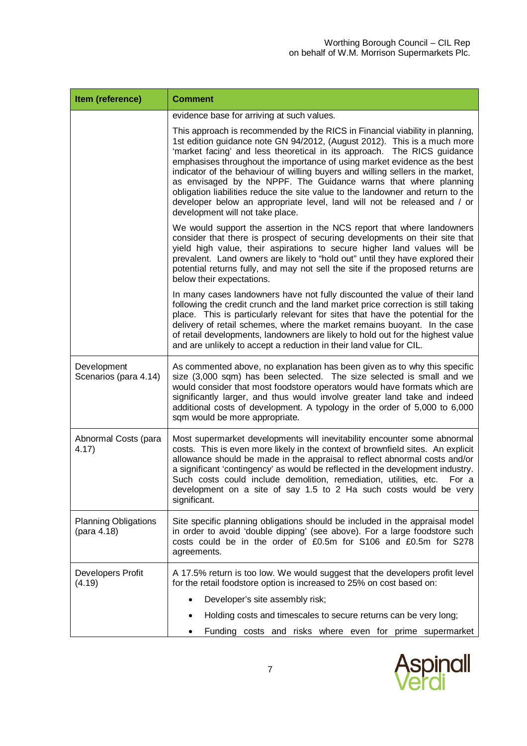| Item (reference)                           | <b>Comment</b>                                                                                                                                                                                                                                                                                                                                                                                                                                                                                                                                                                                                                                                             |
|--------------------------------------------|----------------------------------------------------------------------------------------------------------------------------------------------------------------------------------------------------------------------------------------------------------------------------------------------------------------------------------------------------------------------------------------------------------------------------------------------------------------------------------------------------------------------------------------------------------------------------------------------------------------------------------------------------------------------------|
|                                            | evidence base for arriving at such values.                                                                                                                                                                                                                                                                                                                                                                                                                                                                                                                                                                                                                                 |
|                                            | This approach is recommended by the RICS in Financial viability in planning,<br>1st edition guidance note GN 94/2012, (August 2012). This is a much more<br>'market facing' and less theoretical in its approach. The RICS guidance<br>emphasises throughout the importance of using market evidence as the best<br>indicator of the behaviour of willing buyers and willing sellers in the market,<br>as envisaged by the NPPF. The Guidance warns that where planning<br>obligation liabilities reduce the site value to the landowner and return to the<br>developer below an appropriate level, land will not be released and / or<br>development will not take place. |
|                                            | We would support the assertion in the NCS report that where landowners<br>consider that there is prospect of securing developments on their site that<br>yield high value, their aspirations to secure higher land values will be<br>prevalent. Land owners are likely to "hold out" until they have explored their<br>potential returns fully, and may not sell the site if the proposed returns are<br>below their expectations.                                                                                                                                                                                                                                         |
|                                            | In many cases landowners have not fully discounted the value of their land<br>following the credit crunch and the land market price correction is still taking<br>place. This is particularly relevant for sites that have the potential for the<br>delivery of retail schemes, where the market remains buoyant. In the case<br>of retail developments, landowners are likely to hold out for the highest value<br>and are unlikely to accept a reduction in their land value for CIL.                                                                                                                                                                                    |
| Development<br>Scenarios (para 4.14)       | As commented above, no explanation has been given as to why this specific<br>size (3,000 sqm) has been selected. The size selected is small and we<br>would consider that most foodstore operators would have formats which are<br>significantly larger, and thus would involve greater land take and indeed<br>additional costs of development. A typology in the order of 5,000 to 6,000<br>sqm would be more appropriate.                                                                                                                                                                                                                                               |
| Abnormal Costs (para<br>4.17)              | Most supermarket developments will inevitability encounter some abnormal<br>costs. This is even more likely in the context of brownfield sites. An explicit<br>allowance should be made in the appraisal to reflect abnormal costs and/or<br>a significant 'contingency' as would be reflected in the development industry.<br>Such costs could include demolition, remediation, utilities, etc.<br>For a<br>development on a site of say 1.5 to 2 Ha such costs would be very<br>significant.                                                                                                                                                                             |
| <b>Planning Obligations</b><br>(para 4.18) | Site specific planning obligations should be included in the appraisal model<br>in order to avoid 'double dipping' (see above). For a large foodstore such<br>costs could be in the order of £0.5m for S106 and £0.5m for S278<br>agreements.                                                                                                                                                                                                                                                                                                                                                                                                                              |
| Developers Profit<br>(4.19)                | A 17.5% return is too low. We would suggest that the developers profit level<br>for the retail foodstore option is increased to 25% on cost based on:                                                                                                                                                                                                                                                                                                                                                                                                                                                                                                                      |
|                                            | Developer's site assembly risk;                                                                                                                                                                                                                                                                                                                                                                                                                                                                                                                                                                                                                                            |
|                                            | Holding costs and timescales to secure returns can be very long;<br>٠                                                                                                                                                                                                                                                                                                                                                                                                                                                                                                                                                                                                      |
|                                            | Funding costs and risks where even for prime supermarket                                                                                                                                                                                                                                                                                                                                                                                                                                                                                                                                                                                                                   |

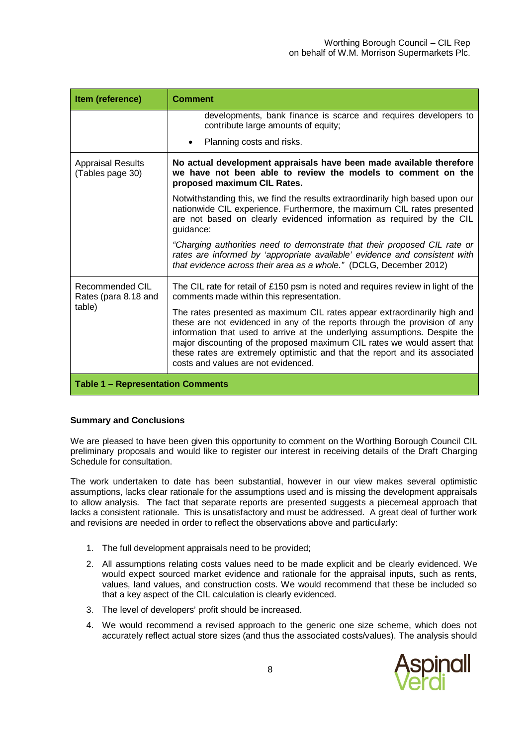| Item (reference)                                  | <b>Comment</b>                                                                                                                                                                                                                                                                                                                                                                                                                         |
|---------------------------------------------------|----------------------------------------------------------------------------------------------------------------------------------------------------------------------------------------------------------------------------------------------------------------------------------------------------------------------------------------------------------------------------------------------------------------------------------------|
|                                                   | developments, bank finance is scarce and requires developers to<br>contribute large amounts of equity;                                                                                                                                                                                                                                                                                                                                 |
|                                                   | Planning costs and risks.                                                                                                                                                                                                                                                                                                                                                                                                              |
| <b>Appraisal Results</b><br>(Tables page 30)      | No actual development appraisals have been made available therefore<br>we have not been able to review the models to comment on the<br>proposed maximum CIL Rates.                                                                                                                                                                                                                                                                     |
|                                                   | Notwithstanding this, we find the results extraordinarily high based upon our<br>nationwide CIL experience. Furthermore, the maximum CIL rates presented<br>are not based on clearly evidenced information as required by the CIL<br>guidance:                                                                                                                                                                                         |
|                                                   | "Charging authorities need to demonstrate that their proposed CIL rate or<br>rates are informed by 'appropriate available' evidence and consistent with<br>that evidence across their area as a whole." (DCLG, December 2012)                                                                                                                                                                                                          |
| Recommended CIL<br>Rates (para 8.18 and<br>table) | The CIL rate for retail of £150 psm is noted and requires review in light of the<br>comments made within this representation.                                                                                                                                                                                                                                                                                                          |
|                                                   | The rates presented as maximum CIL rates appear extraordinarily high and<br>these are not evidenced in any of the reports through the provision of any<br>information that used to arrive at the underlying assumptions. Despite the<br>major discounting of the proposed maximum CIL rates we would assert that<br>these rates are extremely optimistic and that the report and its associated<br>costs and values are not evidenced. |
| <b>Table 1 - Representation Comments</b>          |                                                                                                                                                                                                                                                                                                                                                                                                                                        |

## **Summary and Conclusions**

We are pleased to have been given this opportunity to comment on the Worthing Borough Council CIL preliminary proposals and would like to register our interest in receiving details of the Draft Charging Schedule for consultation.

The work undertaken to date has been substantial, however in our view makes several optimistic assumptions, lacks clear rationale for the assumptions used and is missing the development appraisals to allow analysis. The fact that separate reports are presented suggests a piecemeal approach that lacks a consistent rationale. This is unsatisfactory and must be addressed. A great deal of further work and revisions are needed in order to reflect the observations above and particularly:

- 1. The full development appraisals need to be provided;
- 2. All assumptions relating costs values need to be made explicit and be clearly evidenced. We would expect sourced market evidence and rationale for the appraisal inputs, such as rents, values, land values, and construction costs. We would recommend that these be included so that a key aspect of the CIL calculation is clearly evidenced.
- 3. The level of developers' profit should be increased.
- 4. We would recommend a revised approach to the generic one size scheme, which does not accurately reflect actual store sizes (and thus the associated costs/values). The analysis should